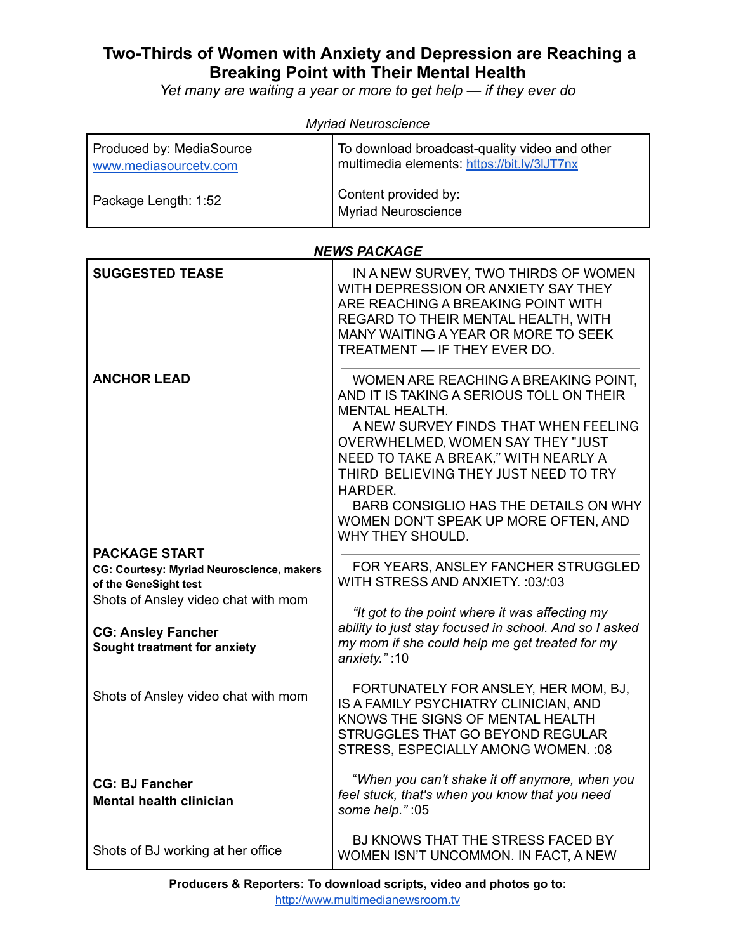## **Two-Thirds of Women with Anxiety and Depression are Reaching a Breaking Point with Their Mental Health**

*Yet many are waiting a year or more to get help — if they ever do*

| <b><i>INIVITED INCORDED INC.</i></b>              |                                                                                              |  |
|---------------------------------------------------|----------------------------------------------------------------------------------------------|--|
| Produced by: MediaSource<br>www.mediasourcetv.com | To download broadcast-quality video and other<br>multimedia elements: https://bit.ly/3lJT7nx |  |
| Package Length: 1:52                              | Content provided by:<br><b>Myriad Neuroscience</b>                                           |  |

*Myriad Neuroscience*

## *NEWS PACKAGE*

| <b>SUGGESTED TEASE</b>                                    | IN A NEW SURVEY, TWO THIRDS OF WOMEN<br>WITH DEPRESSION OR ANXIETY SAY THEY<br>ARE REACHING A BREAKING POINT WITH<br>REGARD TO THEIR MENTAL HEALTH, WITH<br>MANY WAITING A YEAR OR MORE TO SEEK<br>TREATMENT - IF THEY EVER DO.                                                                                                                                                         |
|-----------------------------------------------------------|-----------------------------------------------------------------------------------------------------------------------------------------------------------------------------------------------------------------------------------------------------------------------------------------------------------------------------------------------------------------------------------------|
| <b>ANCHOR LEAD</b>                                        | WOMEN ARE REACHING A BREAKING POINT,<br>AND IT IS TAKING A SERIOUS TOLL ON THEIR<br><b>MENTAL HEALTH.</b><br>A NEW SURVEY FINDS THAT WHEN FEELING<br>OVERWHELMED, WOMEN SAY THEY "JUST<br>NEED TO TAKE A BREAK," WITH NEARLY A<br>THIRD BELIEVING THEY JUST NEED TO TRY<br>HARDER.<br>BARB CONSIGLIO HAS THE DETAILS ON WHY<br>WOMEN DON'T SPEAK UP MORE OFTEN, AND<br>WHY THEY SHOULD. |
| <b>PACKAGE START</b>                                      |                                                                                                                                                                                                                                                                                                                                                                                         |
| CG: Courtesy: Myriad Neuroscience, makers                 | FOR YEARS, ANSLEY FANCHER STRUGGLED                                                                                                                                                                                                                                                                                                                                                     |
| of the GeneSight test                                     | WITH STRESS AND ANXIETY. : 03/:03                                                                                                                                                                                                                                                                                                                                                       |
| Shots of Ansley video chat with mom                       | "It got to the point where it was affecting my                                                                                                                                                                                                                                                                                                                                          |
|                                                           | ability to just stay focused in school. And so I asked                                                                                                                                                                                                                                                                                                                                  |
| <b>CG: Ansley Fancher</b><br>Sought treatment for anxiety | my mom if she could help me get treated for my<br>anxiety.":10                                                                                                                                                                                                                                                                                                                          |
| Shots of Ansley video chat with mom                       | FORTUNATELY FOR ANSLEY, HER MOM, BJ,<br>IS A FAMILY PSYCHIATRY CLINICIAN, AND<br>KNOWS THE SIGNS OF MENTAL HEALTH<br>STRUGGLES THAT GO BEYOND REGULAR<br>STRESS, ESPECIALLY AMONG WOMEN. : 08                                                                                                                                                                                           |
| <b>CG: BJ Fancher</b><br><b>Mental health clinician</b>   | "When you can't shake it off anymore, when you<br>feel stuck, that's when you know that you need<br>some help.":05                                                                                                                                                                                                                                                                      |
| Shots of BJ working at her office                         | BJ KNOWS THAT THE STRESS FACED BY<br>WOMEN ISN'T UNCOMMON. IN FACT, A NEW                                                                                                                                                                                                                                                                                                               |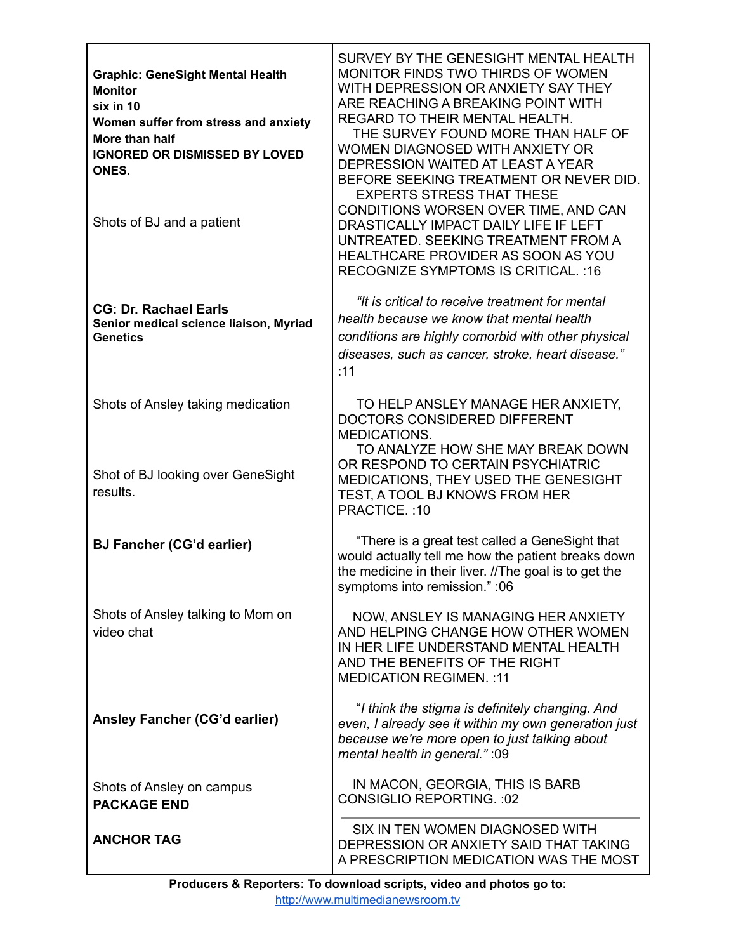| <b>Graphic: GeneSight Mental Health</b><br><b>Monitor</b><br>six in 10<br>Women suffer from stress and anxiety<br>More than half<br><b>IGNORED OR DISMISSED BY LOVED</b><br>ONES.<br>Shots of BJ and a patient | SURVEY BY THE GENESIGHT MENTAL HEALTH<br>MONITOR FINDS TWO THIRDS OF WOMEN<br>WITH DEPRESSION OR ANXIETY SAY THEY<br>ARE REACHING A BREAKING POINT WITH<br>REGARD TO THEIR MENTAL HEALTH.<br>THE SURVEY FOUND MORE THAN HALF OF<br>WOMEN DIAGNOSED WITH ANXIETY OR<br>DEPRESSION WAITED AT LEAST A YEAR<br>BEFORE SEEKING TREATMENT OR NEVER DID.<br><b>EXPERTS STRESS THAT THESE</b><br>CONDITIONS WORSEN OVER TIME, AND CAN<br>DRASTICALLY IMPACT DAILY LIFE IF LEFT<br>UNTREATED. SEEKING TREATMENT FROM A<br>HEALTHCARE PROVIDER AS SOON AS YOU<br><b>RECOGNIZE SYMPTOMS IS CRITICAL.:16</b> |
|----------------------------------------------------------------------------------------------------------------------------------------------------------------------------------------------------------------|--------------------------------------------------------------------------------------------------------------------------------------------------------------------------------------------------------------------------------------------------------------------------------------------------------------------------------------------------------------------------------------------------------------------------------------------------------------------------------------------------------------------------------------------------------------------------------------------------|
| <b>CG: Dr. Rachael Earls</b><br>Senior medical science liaison, Myriad<br><b>Genetics</b>                                                                                                                      | "It is critical to receive treatment for mental<br>health because we know that mental health<br>conditions are highly comorbid with other physical<br>diseases, such as cancer, stroke, heart disease."<br>:11                                                                                                                                                                                                                                                                                                                                                                                   |
| Shots of Ansley taking medication                                                                                                                                                                              | TO HELP ANSLEY MANAGE HER ANXIETY,<br>DOCTORS CONSIDERED DIFFERENT<br><b>MEDICATIONS.</b><br>TO ANALYZE HOW SHE MAY BREAK DOWN                                                                                                                                                                                                                                                                                                                                                                                                                                                                   |
| Shot of BJ looking over GeneSight<br>results.                                                                                                                                                                  | OR RESPOND TO CERTAIN PSYCHIATRIC<br>MEDICATIONS, THEY USED THE GENESIGHT<br>TEST, A TOOL BJ KNOWS FROM HER<br>PRACTICE.: 10                                                                                                                                                                                                                                                                                                                                                                                                                                                                     |
| <b>BJ Fancher (CG'd earlier)</b>                                                                                                                                                                               | "There is a great test called a GeneSight that<br>would actually tell me how the patient breaks down<br>the medicine in their liver. //The goal is to get the<br>symptoms into remission." : 06                                                                                                                                                                                                                                                                                                                                                                                                  |
| Shots of Ansley talking to Mom on<br>video chat                                                                                                                                                                | NOW, ANSLEY IS MANAGING HER ANXIETY<br>AND HELPING CHANGE HOW OTHER WOMEN<br>IN HER LIFE UNDERSTAND MENTAL HEALTH<br>AND THE BENEFITS OF THE RIGHT<br><b>MEDICATION REGIMEN.:11</b>                                                                                                                                                                                                                                                                                                                                                                                                              |
| Ansley Fancher (CG'd earlier)                                                                                                                                                                                  | "I think the stigma is definitely changing. And<br>even, I already see it within my own generation just<br>because we're more open to just talking about<br>mental health in general." : 09                                                                                                                                                                                                                                                                                                                                                                                                      |
| Shots of Ansley on campus<br><b>PACKAGE END</b>                                                                                                                                                                | IN MACON, GEORGIA, THIS IS BARB<br><b>CONSIGLIO REPORTING.: 02</b>                                                                                                                                                                                                                                                                                                                                                                                                                                                                                                                               |
| <b>ANCHOR TAG</b>                                                                                                                                                                                              | SIX IN TEN WOMEN DIAGNOSED WITH<br>DEPRESSION OR ANXIETY SAID THAT TAKING<br>A PRESCRIPTION MEDICATION WAS THE MOST                                                                                                                                                                                                                                                                                                                                                                                                                                                                              |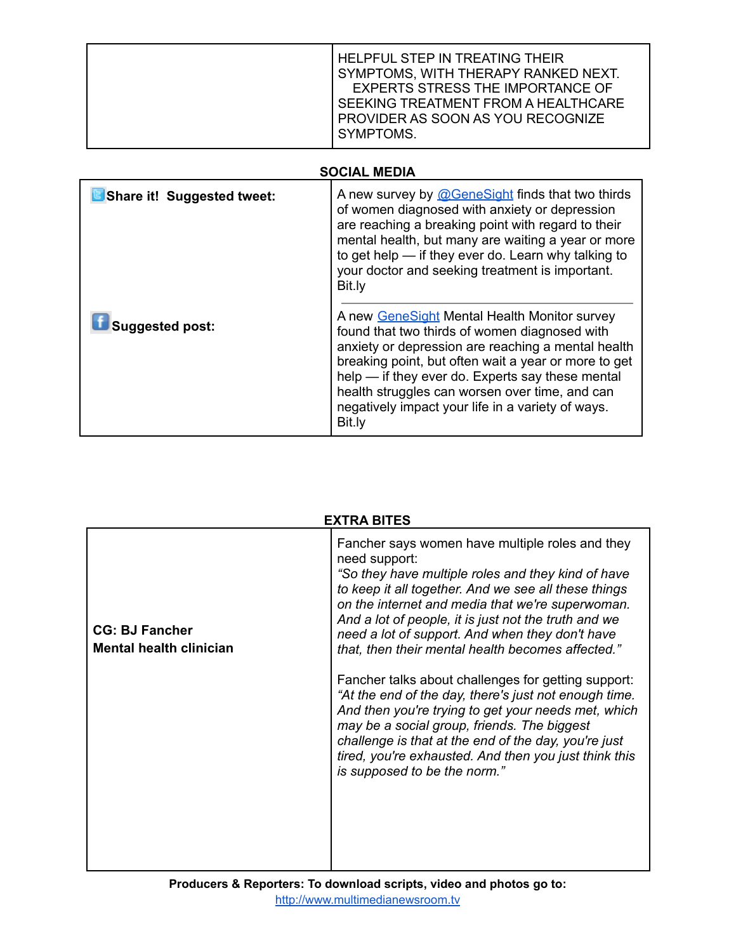|  | <b>HELPFUL STEP IN TREATING THEIR</b><br>SYMPTOMS, WITH THERAPY RANKED NEXT.<br>EXPERTS STRESS THE IMPORTANCE OF<br>SEEKING TREATMENT FROM A HEALTHCARE<br><b>PROVIDER AS SOON AS YOU RECOGNIZE</b><br>SYMPTOMS. |
|--|------------------------------------------------------------------------------------------------------------------------------------------------------------------------------------------------------------------|
|--|------------------------------------------------------------------------------------------------------------------------------------------------------------------------------------------------------------------|

## **SOCIAL MEDIA**

| Share it! Suggested tweet: | A new survey by @GeneSight finds that two thirds<br>of women diagnosed with anxiety or depression<br>are reaching a breaking point with regard to their<br>mental health, but many are waiting a year or more<br>to get help - if they ever do. Learn why talking to<br>your doctor and seeking treatment is important.<br>Bit.ly                                                |
|----------------------------|----------------------------------------------------------------------------------------------------------------------------------------------------------------------------------------------------------------------------------------------------------------------------------------------------------------------------------------------------------------------------------|
| <b>Suggested post:</b>     | A new GeneSight Mental Health Monitor survey<br>found that two thirds of women diagnosed with<br>anxiety or depression are reaching a mental health<br>breaking point, but often wait a year or more to get<br>help — if they ever do. Experts say these mental<br>health struggles can worsen over time, and can<br>negatively impact your life in a variety of ways.<br>Bit.ly |

| <b>EXTRA BITES</b>                                      |                                                                                                                                                                                                                                                                                                                                                                                                                                                                                                                                                                                                                                                                                                                                                                           |
|---------------------------------------------------------|---------------------------------------------------------------------------------------------------------------------------------------------------------------------------------------------------------------------------------------------------------------------------------------------------------------------------------------------------------------------------------------------------------------------------------------------------------------------------------------------------------------------------------------------------------------------------------------------------------------------------------------------------------------------------------------------------------------------------------------------------------------------------|
| <b>CG: BJ Fancher</b><br><b>Mental health clinician</b> | Fancher says women have multiple roles and they<br>need support:<br>"So they have multiple roles and they kind of have<br>to keep it all together. And we see all these things<br>on the internet and media that we're superwoman.<br>And a lot of people, it is just not the truth and we<br>need a lot of support. And when they don't have<br>that, then their mental health becomes affected."<br>Fancher talks about challenges for getting support:<br>"At the end of the day, there's just not enough time.<br>And then you're trying to get your needs met, which<br>may be a social group, friends. The biggest<br>challenge is that at the end of the day, you're just<br>tired, you're exhausted. And then you just think this<br>is supposed to be the norm." |
|                                                         |                                                                                                                                                                                                                                                                                                                                                                                                                                                                                                                                                                                                                                                                                                                                                                           |